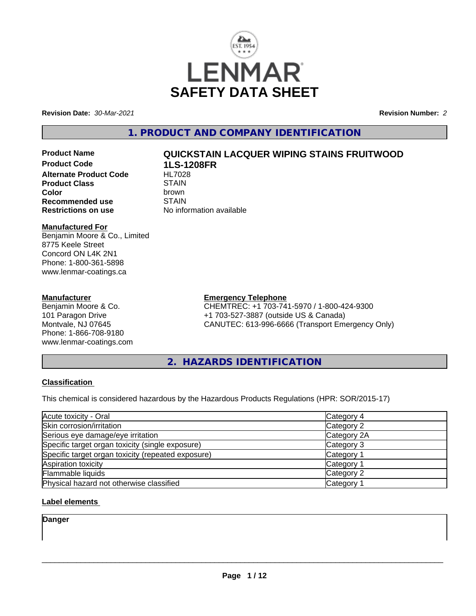

**Revision Date:** *30-Mar-2021* **Revision Number:** *2*

# **1. PRODUCT AND COMPANY IDENTIFICATION**

**Product Code 1LS-1208FR Alternate Product Code HL7028**<br>Product Class STAIN **Product Class** STAIN<br> **Color Color** brown **Recommended use** STAIN<br> **Restrictions on use** No info

# **Product Name QUICKSTAIN LACQUER WIPING STAINS FRUITWOOD**

**No information available** 

#### **Manufactured For**

Benjamin Moore & Co., Limited 8775 Keele Street Concord ON L4K 2N1 Phone: 1-800-361-5898 www.lenmar-coatings.ca

#### **Manufacturer**

Benjamin Moore & Co. 101 Paragon Drive Montvale, NJ 07645 Phone: 1-866-708-9180 www.lenmar-coatings.com

# **Emergency Telephone**

CHEMTREC: +1 703-741-5970 / 1-800-424-9300 +1 703-527-3887 (outside US & Canada) CANUTEC: 613-996-6666 (Transport Emergency Only)

**2. HAZARDS IDENTIFICATION**

# **Classification**

This chemical is considered hazardous by the Hazardous Products Regulations (HPR: SOR/2015-17)

| Acute toxicity - Oral                              | Category 4  |  |
|----------------------------------------------------|-------------|--|
| Skin corrosion/irritation                          | Category 2  |  |
| Serious eye damage/eye irritation                  | Category 2A |  |
| Specific target organ toxicity (single exposure)   | Category 3  |  |
| Specific target organ toxicity (repeated exposure) | Category 1  |  |
| Aspiration toxicity                                | Category 1  |  |
| Flammable liquids                                  | Category 2  |  |
| Physical hazard not otherwise classified           | Category 1  |  |

# **Label elements**

**Danger**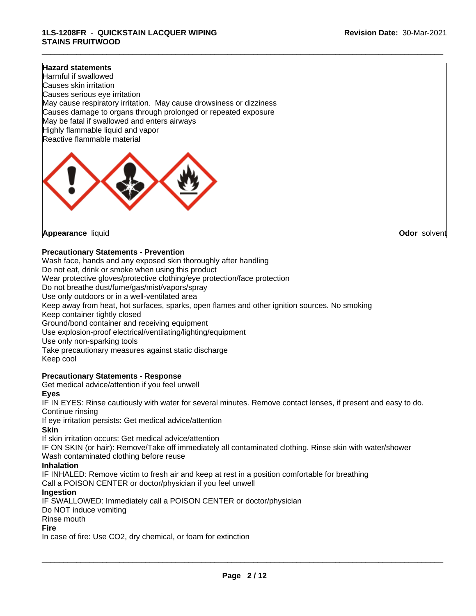\_\_\_\_\_\_\_\_\_\_\_\_\_\_\_\_\_\_\_\_\_\_\_\_\_\_\_\_\_\_\_\_\_\_\_\_\_\_\_\_\_\_\_\_\_\_\_\_\_\_\_\_\_\_\_\_\_\_\_\_\_\_\_\_\_\_\_\_\_\_\_\_\_\_\_\_\_\_\_\_\_\_\_\_\_\_\_\_\_\_\_\_\_

#### **Hazard statements**

Harmful if swallowed Causes skin irritation Causes serious eye irritation May cause respiratory irritation. May cause drowsiness or dizziness Causes damage to organs through prolonged or repeated exposure May be fatal if swallowed and enters airways Highly flammable liquid and vapor Reactive flammable material



**Appearance** liquid **Odor** solvent

#### **Precautionary Statements - Prevention**

Wash face, hands and any exposed skin thoroughly after handling Do not eat, drink or smoke when using this product Wear protective gloves/protective clothing/eye protection/face protection Do not breathe dust/fume/gas/mist/vapors/spray Use only outdoors or in a well-ventilated area Keep away from heat, hot surfaces, sparks, open flames and other ignition sources. No smoking Keep container tightly closed Ground/bond container and receiving equipment Use explosion-proof electrical/ventilating/lighting/equipment Use only non-sparking tools Take precautionary measures against static discharge Keep cool

# **Precautionary Statements - Response**

Get medical advice/attention if you feel unwell

#### **Eyes**

IF IN EYES: Rinse cautiously with water for several minutes. Remove contact lenses, if present and easy to do. Continue rinsing

If eye irritation persists: Get medical advice/attention

#### **Skin**

If skin irritation occurs: Get medical advice/attention

IF ON SKIN (or hair): Remove/Take off immediately all contaminated clothing. Rinse skin with water/shower Wash contaminated clothing before reuse

#### **Inhalation**

IF INHALED: Remove victim to fresh air and keep at rest in a position comfortable for breathing Call a POISON CENTER or doctor/physician if you feel unwell

#### **Ingestion**

IF SWALLOWED: Immediately call a POISON CENTER or doctor/physician

Do NOT induce vomiting

Rinse mouth

#### **Fire**

In case of fire: Use CO2, dry chemical, or foam for extinction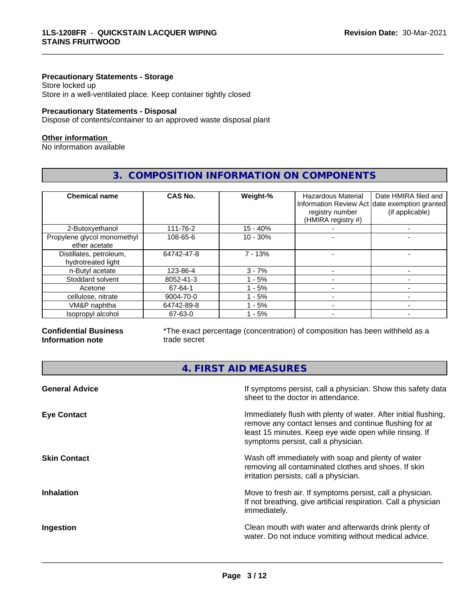#### **Precautionary Statements - Storage**

Store locked up Store in a well-ventilated place. Keep container tightly closed

#### **Precautionary Statements - Disposal**

Dispose of contents/container to an approved waste disposal plant

#### **Other information**

No information available

# **3. COMPOSITION INFORMATION ON COMPONENTS**

\_\_\_\_\_\_\_\_\_\_\_\_\_\_\_\_\_\_\_\_\_\_\_\_\_\_\_\_\_\_\_\_\_\_\_\_\_\_\_\_\_\_\_\_\_\_\_\_\_\_\_\_\_\_\_\_\_\_\_\_\_\_\_\_\_\_\_\_\_\_\_\_\_\_\_\_\_\_\_\_\_\_\_\_\_\_\_\_\_\_\_\_\_

| <b>Chemical name</b>                          | CAS No.    | Weight-%   | <b>Hazardous Material</b><br>registry number<br>(HMIRA registry #) | Date HMIRA filed and<br>Information Review Act date exemption granted<br>(if applicable) |
|-----------------------------------------------|------------|------------|--------------------------------------------------------------------|------------------------------------------------------------------------------------------|
| 2-Butoxyethanol                               | 111-76-2   | $15 - 40%$ |                                                                    |                                                                                          |
| Propylene glycol monomethyl<br>ether acetate  | 108-65-6   | $10 - 30%$ |                                                                    |                                                                                          |
| Distillates, petroleum,<br>hydrotreated light | 64742-47-8 | $7 - 13%$  |                                                                    |                                                                                          |
| n-Butyl acetate                               | 123-86-4   | $3 - 7%$   |                                                                    |                                                                                          |
| Stoddard solvent                              | 8052-41-3  | $-5%$      |                                                                    |                                                                                          |
| Acetone                                       | 67-64-1    | $-5%$      |                                                                    |                                                                                          |
| cellulose, nitrate                            | 9004-70-0  | - 5%       |                                                                    |                                                                                          |
| VM&P naphtha                                  | 64742-89-8 | - 5%       |                                                                    |                                                                                          |
| Isopropyl alcohol                             | 67-63-0    | - 5%       |                                                                    |                                                                                          |

#### **Confidential Business Information note**

\*The exact percentage (concentration) of composition has been withheld as a trade secret

# **4. FIRST AID MEASURES**

| <b>General Advice</b> | If symptoms persist, call a physician. Show this safety data<br>sheet to the doctor in attendance.                                                                                                                         |
|-----------------------|----------------------------------------------------------------------------------------------------------------------------------------------------------------------------------------------------------------------------|
| <b>Eye Contact</b>    | Immediately flush with plenty of water. After initial flushing,<br>remove any contact lenses and continue flushing for at<br>least 15 minutes. Keep eye wide open while rinsing. If<br>symptoms persist, call a physician. |
| <b>Skin Contact</b>   | Wash off immediately with soap and plenty of water<br>removing all contaminated clothes and shoes. If skin<br>irritation persists, call a physician.                                                                       |
| <b>Inhalation</b>     | Move to fresh air. If symptoms persist, call a physician.<br>If not breathing, give artificial respiration. Call a physician<br>immediately.                                                                               |
| Ingestion             | Clean mouth with water and afterwards drink plenty of<br>water. Do not induce vomiting without medical advice.                                                                                                             |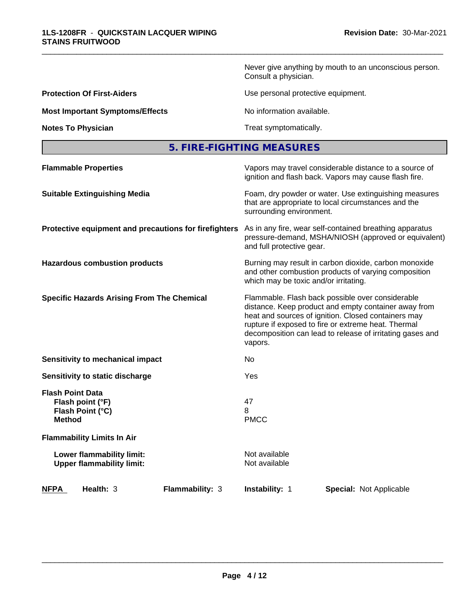Never give anything by mouth to an unconscious person. Consult a physician.

**Protection Of First-Aiders Conserverse Exercise Exercise Use personal protective equipment.** 

**Most Important Symptoms/Effects** No information available.

\_\_\_\_\_\_\_\_\_\_\_\_\_\_\_\_\_\_\_\_\_\_\_\_\_\_\_\_\_\_\_\_\_\_\_\_\_\_\_\_\_\_\_\_\_\_\_\_\_\_\_\_\_\_\_\_\_\_\_\_\_\_\_\_\_\_\_\_\_\_\_\_\_\_\_\_\_\_\_\_\_\_\_\_\_\_\_\_\_\_\_\_\_

**Notes To Physician Treat symptomatically.** 

| 5. FIRE-FIGHTING MEASURES |  |
|---------------------------|--|
|---------------------------|--|

| <b>Flammable Properties</b>                                                      | Vapors may travel considerable distance to a source of<br>ignition and flash back. Vapors may cause flash fire.                                                                                                                                                                                |
|----------------------------------------------------------------------------------|------------------------------------------------------------------------------------------------------------------------------------------------------------------------------------------------------------------------------------------------------------------------------------------------|
| <b>Suitable Extinguishing Media</b>                                              | Foam, dry powder or water. Use extinguishing measures<br>that are appropriate to local circumstances and the<br>surrounding environment.                                                                                                                                                       |
| Protective equipment and precautions for firefighters                            | As in any fire, wear self-contained breathing apparatus<br>pressure-demand, MSHA/NIOSH (approved or equivalent)<br>and full protective gear.                                                                                                                                                   |
| <b>Hazardous combustion products</b>                                             | Burning may result in carbon dioxide, carbon monoxide<br>and other combustion products of varying composition<br>which may be toxic and/or irritating.                                                                                                                                         |
| <b>Specific Hazards Arising From The Chemical</b>                                | Flammable. Flash back possible over considerable<br>distance. Keep product and empty container away from<br>heat and sources of ignition. Closed containers may<br>rupture if exposed to fire or extreme heat. Thermal<br>decomposition can lead to release of irritating gases and<br>vapors. |
| <b>Sensitivity to mechanical impact</b>                                          | No.                                                                                                                                                                                                                                                                                            |
| Sensitivity to static discharge                                                  | Yes                                                                                                                                                                                                                                                                                            |
| <b>Flash Point Data</b><br>Flash point (°F)<br>Flash Point (°C)<br><b>Method</b> | 47<br>8<br><b>PMCC</b>                                                                                                                                                                                                                                                                         |
| <b>Flammability Limits In Air</b>                                                |                                                                                                                                                                                                                                                                                                |
| Lower flammability limit:<br><b>Upper flammability limit:</b>                    | Not available<br>Not available                                                                                                                                                                                                                                                                 |
| Health: 3<br><b>NFPA</b><br><b>Flammability: 3</b>                               | <b>Instability: 1</b><br><b>Special: Not Applicable</b>                                                                                                                                                                                                                                        |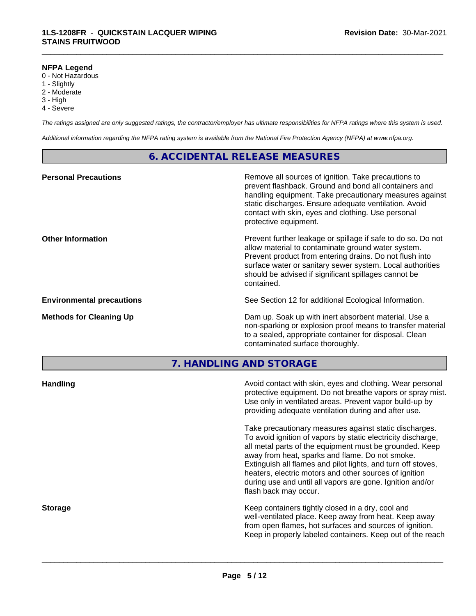#### **NFPA Legend**

- 0 Not Hazardous
- 1 Slightly
- 2 Moderate
- 3 High
- 4 Severe

*The ratings assigned are only suggested ratings, the contractor/employer has ultimate responsibilities for NFPA ratings where this system is used.*

\_\_\_\_\_\_\_\_\_\_\_\_\_\_\_\_\_\_\_\_\_\_\_\_\_\_\_\_\_\_\_\_\_\_\_\_\_\_\_\_\_\_\_\_\_\_\_\_\_\_\_\_\_\_\_\_\_\_\_\_\_\_\_\_\_\_\_\_\_\_\_\_\_\_\_\_\_\_\_\_\_\_\_\_\_\_\_\_\_\_\_\_\_

*Additional information regarding the NFPA rating system is available from the National Fire Protection Agency (NFPA) at www.nfpa.org.*

# **6. ACCIDENTAL RELEASE MEASURES**

| <b>Personal Precautions</b>      | Remove all sources of ignition. Take precautions to<br>prevent flashback. Ground and bond all containers and<br>handling equipment. Take precautionary measures against<br>static discharges. Ensure adequate ventilation. Avoid<br>contact with skin, eyes and clothing. Use personal<br>protective equipment.  |
|----------------------------------|------------------------------------------------------------------------------------------------------------------------------------------------------------------------------------------------------------------------------------------------------------------------------------------------------------------|
| <b>Other Information</b>         | Prevent further leakage or spillage if safe to do so. Do not<br>allow material to contaminate ground water system.<br>Prevent product from entering drains. Do not flush into<br>surface water or sanitary sewer system. Local authorities<br>should be advised if significant spillages cannot be<br>contained. |
| <b>Environmental precautions</b> | See Section 12 for additional Ecological Information.                                                                                                                                                                                                                                                            |
| <b>Methods for Cleaning Up</b>   | Dam up. Soak up with inert absorbent material. Use a<br>non-sparking or explosion proof means to transfer material<br>to a sealed, appropriate container for disposal. Clean<br>contaminated surface thoroughly.                                                                                                 |

**7. HANDLING AND STORAGE**

| <b>Handling</b> | Avoid contact with skin, eyes and clothing. Wear personal<br>protective equipment. Do not breathe vapors or spray mist.<br>Use only in ventilated areas. Prevent vapor build-up by<br>providing adequate ventilation during and after use.                                                                                                                                                                                                           |
|-----------------|------------------------------------------------------------------------------------------------------------------------------------------------------------------------------------------------------------------------------------------------------------------------------------------------------------------------------------------------------------------------------------------------------------------------------------------------------|
|                 | Take precautionary measures against static discharges.<br>To avoid ignition of vapors by static electricity discharge,<br>all metal parts of the equipment must be grounded. Keep<br>away from heat, sparks and flame. Do not smoke.<br>Extinguish all flames and pilot lights, and turn off stoves,<br>heaters, electric motors and other sources of ignition<br>during use and until all vapors are gone. Ignition and/or<br>flash back may occur. |
| <b>Storage</b>  | Keep containers tightly closed in a dry, cool and<br>well-ventilated place. Keep away from heat. Keep away<br>from open flames, hot surfaces and sources of ignition.<br>Keep in properly labeled containers. Keep out of the reach                                                                                                                                                                                                                  |
|                 |                                                                                                                                                                                                                                                                                                                                                                                                                                                      |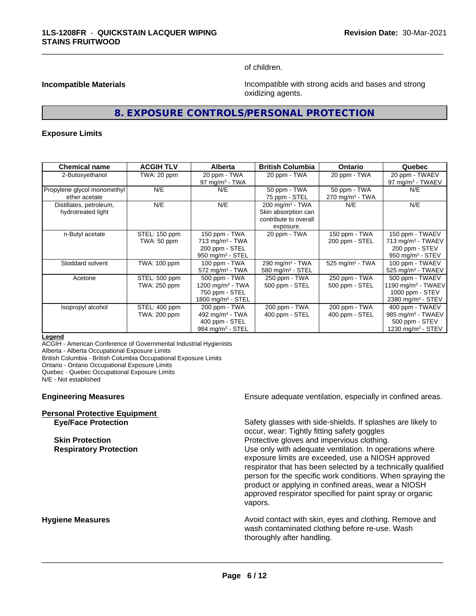of children.

\_\_\_\_\_\_\_\_\_\_\_\_\_\_\_\_\_\_\_\_\_\_\_\_\_\_\_\_\_\_\_\_\_\_\_\_\_\_\_\_\_\_\_\_\_\_\_\_\_\_\_\_\_\_\_\_\_\_\_\_\_\_\_\_\_\_\_\_\_\_\_\_\_\_\_\_\_\_\_\_\_\_\_\_\_\_\_\_\_\_\_\_\_

**Incompatible Materials Incompatible with strong acids and bases and strong** oxidizing agents.

# **8. EXPOSURE CONTROLS/PERSONAL PROTECTION**

#### **Exposure Limits**

| <b>Chemical name</b>                          | <b>ACGIH TLV</b>              | <b>Alberta</b>                                                                                  | <b>British Columbia</b>                                                                 | <b>Ontario</b>                                | Quebec                                                                                                  |
|-----------------------------------------------|-------------------------------|-------------------------------------------------------------------------------------------------|-----------------------------------------------------------------------------------------|-----------------------------------------------|---------------------------------------------------------------------------------------------------------|
| 2-Butoxyethanol                               | TWA: 20 ppm                   | 20 ppm - TWA<br>$97 \text{ mg/m}^3$ - TWA                                                       | 20 ppm - TWA                                                                            | 20 ppm - TWA                                  | 20 ppm - TWAEV<br>97 mg/m $3$ - TWAEV                                                                   |
| Propylene glycol monomethyl<br>ether acetate  | N/E                           | N/E                                                                                             | 50 ppm - TWA<br>75 ppm - STEL                                                           | 50 ppm - TWA<br>$270$ mg/m <sup>3</sup> - TWA | N/E                                                                                                     |
| Distillates, petroleum,<br>hydrotreated light | N/E                           | N/E                                                                                             | $200 \text{ mg/m}^3$ - TWA<br>Skin absorption can<br>contribute to overall<br>exposure. | N/E                                           | N/E                                                                                                     |
| n-Butyl acetate                               | STEL: 150 ppm<br>TWA: 50 ppm  | 150 ppm - TWA<br>$713$ mg/m <sup>3</sup> - TWA<br>200 ppm - STEL<br>$950 \text{ mg/m}^3$ - STEL | 20 ppm - TWA                                                                            | 150 ppm - TWA<br>200 ppm - STEL               | 150 ppm - TWAEV<br>713 mg/m <sup>3</sup> - TWAEV<br>200 ppm - STEV<br>950 mg/m $3 -$ STEV               |
| Stoddard solvent                              | TWA: 100 ppm                  | 100 ppm - TWA<br>$572$ mg/m <sup>3</sup> - TWA                                                  | 290 mg/m <sup>3</sup> - TWA<br>580 mg/m $3 -$ STEL                                      | $525$ mg/m <sup>3</sup> - TWA                 | 100 ppm - TWAEV<br>525 mg/m <sup>3</sup> - TWAEV                                                        |
| Acetone                                       | STEL: 500 ppm<br>TWA: 250 ppm | 500 ppm - TWA<br>1200 mg/m $3$ - TWA<br>750 ppm - STEL<br>1800 mg/m $3 -$ STEL                  | 250 ppm - TWA<br>500 ppm - STEL                                                         | 250 ppm - TWA<br>500 ppm - STEL               | 500 ppm - TWAEV<br>1190 mg/m <sup>3</sup> - TWAEV<br>1000 ppm $-$ STEV<br>2380 mg/m <sup>3</sup> - STEV |
| Isopropyl alcohol                             | STEL: 400 ppm<br>TWA: 200 ppm | 200 ppm - TWA<br>492 mg/m $3$ - TWA<br>400 ppm - STEL<br>984 mg/m <sup>3</sup> - STEL           | 200 ppm - TWA<br>400 ppm - STEL                                                         | 200 ppm - TWA<br>400 ppm - STEL               | 400 ppm - TWAEV<br>985 mg/m <sup>3</sup> - TWAEV<br>500 ppm - STEV<br>1230 mg/m <sup>3</sup> - STEV     |

#### **Legend**

ACGIH - American Conference of Governmental Industrial Hygienists Alberta - Alberta Occupational Exposure Limits

British Columbia - British Columbia Occupational Exposure Limits

Ontario - Ontario Occupational Exposure Limits

Quebec - Quebec Occupational Exposure Limits

N/E - Not established

#### **Engineering Measures Ensure adequate ventilation, especially in confined areas.**

| <b>Personal Protective Equipment</b> |  |
|--------------------------------------|--|
| <b>Eve/Face Protection</b>           |  |

Safety glasses with side-shields. If splashes are likely to occur, wear: Tightly fitting safety goggles **Skin Protection Protection Protective gloves and impervious clothing. Respiratory Protection Exercise 2018** Use only with adequate ventilation. In operations where exposure limits are exceeded, use a NIOSH approved respirator that has been selected by a technically qualified person for the specific work conditions. When spraying the product or applying in confined areas, wear a NIOSH approved respirator specified for paint spray or organic vapors.

**Hygiene Measures Avoid contact with skin, eyes and clothing. Remove and Avoid contact with skin, eyes and clothing. Remove and Avoid contact with skin, eyes and clothing. Remove and** wash contaminated clothing before re-use. Wash thoroughly after handling.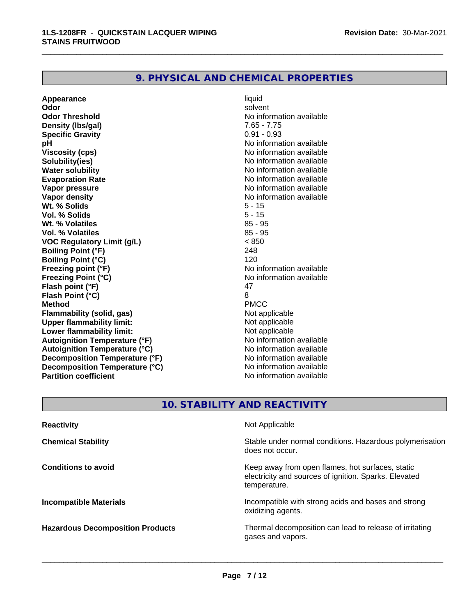# **9. PHYSICAL AND CHEMICAL PROPERTIES**

**Appearance** liquid and **a liquid liquid liquid** by the liquid liquid solvent **Odor** solvent **Odor Threshold** No information available **Density (Ibs/gal)** 7.65 - 7.75 **Specific Gravity** 0.91 - 0.93 **pH** No information available **Viscosity (cps)** No information available **Solubility(ies)** No information available **Water solubility**<br> **Evaporation Rate**<br> **Evaporation Rate**<br> **Evaporation Rate Evaporation Rate No information available**<br> **Vapor pressure No information available**<br>
No information available **Vapor density**<br> **We Solids**<br>
We Solids **We Note that the Solid S** and S - 15 **Wt. % Solids** 5 - 15<br> **Vol. % Solids** 5 - 15 **Vol. % Solids Wt. % Volatiles** 85 - 95 **Vol. % Volatiles VOC Regulatory Limit (g/L)** < 850 **Boiling Point (°F)** 248 **Boiling Point (°C)** 120 **Freezing point (°F)** The state of the state of the Noinformation available **Freezing Point (°C)**<br> **Flash noint (°F)**<br> **Flash noint (°F)**<br> **A7 Flash point (°F)** 47<br> **Flash Point (°C)** 8 **Flash Point (°C)** 8 **Method** PMCC **Flammability (solid, gas)**<br> **Consumption Upper flammability limit:**<br>
Upper flammability limit:<br>
Obtained Not applicable **Upper flammability limit:**<br> **Lower flammability limit:** Not applicable Not applicable **Lower flammability limit:**<br> **Autoignition Temperature (°F)** Not applicable havailable **Autoignition Temperature (°F) Autoignition Temperature (°C)** No information available **Decomposition Temperature (°F)** No information available<br> **Decomposition Temperature (°C)** No information available **Decomposition Temperature (°C)**<br>Partition coefficient

**No information available No information available** 

\_\_\_\_\_\_\_\_\_\_\_\_\_\_\_\_\_\_\_\_\_\_\_\_\_\_\_\_\_\_\_\_\_\_\_\_\_\_\_\_\_\_\_\_\_\_\_\_\_\_\_\_\_\_\_\_\_\_\_\_\_\_\_\_\_\_\_\_\_\_\_\_\_\_\_\_\_\_\_\_\_\_\_\_\_\_\_\_\_\_\_\_\_

# **10. STABILITY AND REACTIVITY**

| <b>Reactivity</b>                       | Not Applicable                                                                                                            |
|-----------------------------------------|---------------------------------------------------------------------------------------------------------------------------|
| <b>Chemical Stability</b>               | Stable under normal conditions. Hazardous polymerisation<br>does not occur.                                               |
| <b>Conditions to avoid</b>              | Keep away from open flames, hot surfaces, static<br>electricity and sources of ignition. Sparks. Elevated<br>temperature. |
| <b>Incompatible Materials</b>           | Incompatible with strong acids and bases and strong<br>oxidizing agents.                                                  |
| <b>Hazardous Decomposition Products</b> | Thermal decomposition can lead to release of irritating<br>gases and vapors.                                              |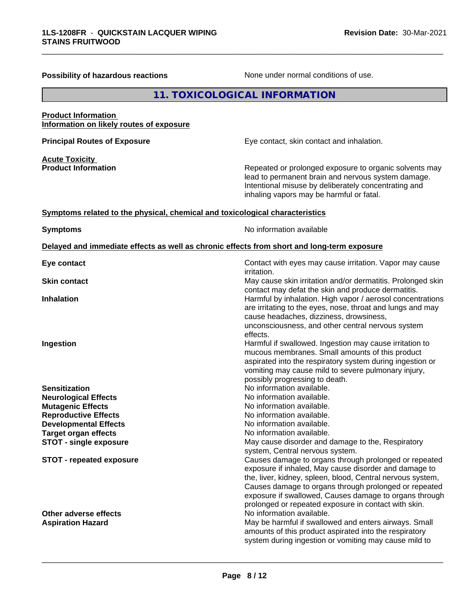\_\_\_\_\_\_\_\_\_\_\_\_\_\_\_\_\_\_\_\_\_\_\_\_\_\_\_\_\_\_\_\_\_\_\_\_\_\_\_\_\_\_\_\_\_\_\_\_\_\_\_\_\_\_\_\_\_\_\_\_\_\_\_\_\_\_\_\_\_\_\_\_\_\_\_\_\_\_\_\_\_\_\_\_\_\_\_\_\_\_\_\_\_

| <b>Possibility of hazardous reactions</b>                                                               | None under normal conditions of use.                                                                                                                                                                                                                             |  |
|---------------------------------------------------------------------------------------------------------|------------------------------------------------------------------------------------------------------------------------------------------------------------------------------------------------------------------------------------------------------------------|--|
|                                                                                                         | 11. TOXICOLOGICAL INFORMATION                                                                                                                                                                                                                                    |  |
| <b>Product Information</b><br>Information on likely routes of exposure                                  |                                                                                                                                                                                                                                                                  |  |
| <b>Principal Routes of Exposure</b>                                                                     | Eye contact, skin contact and inhalation.                                                                                                                                                                                                                        |  |
| <b>Acute Toxicity</b><br><b>Product Information</b>                                                     | Repeated or prolonged exposure to organic solvents may<br>lead to permanent brain and nervous system damage.<br>Intentional misuse by deliberately concentrating and<br>inhaling vapors may be harmful or fatal.                                                 |  |
| Symptoms related to the physical, chemical and toxicological characteristics                            |                                                                                                                                                                                                                                                                  |  |
| <b>Symptoms</b>                                                                                         | No information available                                                                                                                                                                                                                                         |  |
| Delayed and immediate effects as well as chronic effects from short and long-term exposure              |                                                                                                                                                                                                                                                                  |  |
| Eye contact                                                                                             | Contact with eyes may cause irritation. Vapor may cause<br><i>irritation.</i>                                                                                                                                                                                    |  |
| <b>Skin contact</b>                                                                                     | May cause skin irritation and/or dermatitis. Prolonged skin<br>contact may defat the skin and produce dermatitis.                                                                                                                                                |  |
| <b>Inhalation</b>                                                                                       | Harmful by inhalation. High vapor / aerosol concentrations<br>are irritating to the eyes, nose, throat and lungs and may<br>cause headaches, dizziness, drowsiness,<br>unconsciousness, and other central nervous system<br>effects.                             |  |
| <b>Ingestion</b>                                                                                        | Harmful if swallowed. Ingestion may cause irritation to<br>mucous membranes. Small amounts of this product<br>aspirated into the respiratory system during ingestion or<br>vomiting may cause mild to severe pulmonary injury,<br>possibly progressing to death. |  |
| Sensitization<br><b>Neurological Effects</b><br><b>Mutagenic Effects</b><br><b>Reproductive Effects</b> | No information available.<br>No information available.<br>No information available.<br>No information available.                                                                                                                                                 |  |
| <b>Developmental Effects</b><br>Target organ effects<br><b>STOT - single exposure</b>                   | No information available.<br>No information available.<br>May cause disorder and damage to the, Respiratory                                                                                                                                                      |  |

**STOT - repeated exposure** *Causes damage to organs through prolonged or repeated* 

**Other adverse effects** No information available. Aspiration Hazard<br>
May be harmful if swallowed and enters airways. Small

**Page 8 / 12**

system, Central nervous system.

 $\overline{\phantom{a}}$  ,  $\overline{\phantom{a}}$  ,  $\overline{\phantom{a}}$  ,  $\overline{\phantom{a}}$  ,  $\overline{\phantom{a}}$  ,  $\overline{\phantom{a}}$  ,  $\overline{\phantom{a}}$  ,  $\overline{\phantom{a}}$  ,  $\overline{\phantom{a}}$  ,  $\overline{\phantom{a}}$  ,  $\overline{\phantom{a}}$  ,  $\overline{\phantom{a}}$  ,  $\overline{\phantom{a}}$  ,  $\overline{\phantom{a}}$  ,  $\overline{\phantom{a}}$  ,  $\overline{\phantom{a}}$ 

exposure if inhaled, May cause disorder and damage to the, liver, kidney, spleen, blood, Central nervous system, Causes damage to organs through prolonged or repeated exposure if swallowed, Causes damage to organs through prolonged or repeated exposure in contact with skin.

amounts of this product aspirated into the respiratory system during ingestion or vomiting may cause mild to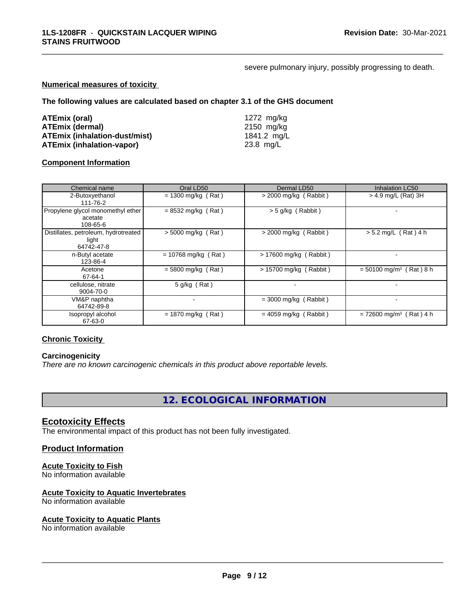severe pulmonary injury, possibly progressing to death.

\_\_\_\_\_\_\_\_\_\_\_\_\_\_\_\_\_\_\_\_\_\_\_\_\_\_\_\_\_\_\_\_\_\_\_\_\_\_\_\_\_\_\_\_\_\_\_\_\_\_\_\_\_\_\_\_\_\_\_\_\_\_\_\_\_\_\_\_\_\_\_\_\_\_\_\_\_\_\_\_\_\_\_\_\_\_\_\_\_\_\_\_\_

#### **Numerical measures of toxicity**

**The following values are calculated based on chapter 3.1 of the GHS document**

| ATEmix (oral)                    | 1272 mg/ka  |
|----------------------------------|-------------|
| <b>ATEmix (dermal)</b>           | 2150 mg/kg  |
| ATEmix (inhalation-dust/mist)    | 1841.2 mg/L |
| <b>ATEmix (inhalation-vapor)</b> | 23.8 mg/L   |

#### **Component Information**

| Chemical name                                               | Oral LD50             | Dermal LD50             | <b>Inhalation LC50</b>                |
|-------------------------------------------------------------|-----------------------|-------------------------|---------------------------------------|
| 2-Butoxyethanol<br>111-76-2                                 | $= 1300$ mg/kg (Rat)  | $>$ 2000 mg/kg (Rabbit) | > 4.9 mg/L (Rat) 3H                   |
| Propylene glycol monomethyl ether<br>acetate<br>108-65-6    | $= 8532$ mg/kg (Rat)  | $>$ 5 g/kg (Rabbit)     |                                       |
| Distillates, petroleum, hydrotreated<br>light<br>64742-47-8 | $> 5000$ mg/kg (Rat)  | $>$ 2000 mg/kg (Rabbit) | $> 5.2$ mg/L (Rat) 4 h                |
| n-Butyl acetate<br>123-86-4                                 | $= 10768$ mg/kg (Rat) | > 17600 mg/kg (Rabbit)  |                                       |
| Acetone<br>67-64-1                                          | $=$ 5800 mg/kg (Rat)  | > 15700 mg/kg (Rabbit)  | $= 50100$ mg/m <sup>3</sup> (Rat) 8 h |
| cellulose, nitrate<br>9004-70-0                             | $5$ g/kg (Rat)        |                         |                                       |
| VM&P naphtha<br>64742-89-8                                  |                       | $=$ 3000 mg/kg (Rabbit) |                                       |
| Isopropyl alcohol<br>67-63-0                                | $= 1870$ mg/kg (Rat)  | $= 4059$ mg/kg (Rabbit) | $= 72600$ mg/m <sup>3</sup> (Rat) 4 h |

# **Chronic Toxicity**

## **Carcinogenicity**

*There are no known carcinogenic chemicals in this product above reportable levels.*

**12. ECOLOGICAL INFORMATION**

#### **Ecotoxicity Effects**

The environmental impact of this product has not been fully investigated.

### **Product Information**

#### **Acute Toxicity to Fish**

No information available

#### **Acute Toxicity to Aquatic Invertebrates**

No information available

#### **Acute Toxicity to Aquatic Plants**

No information available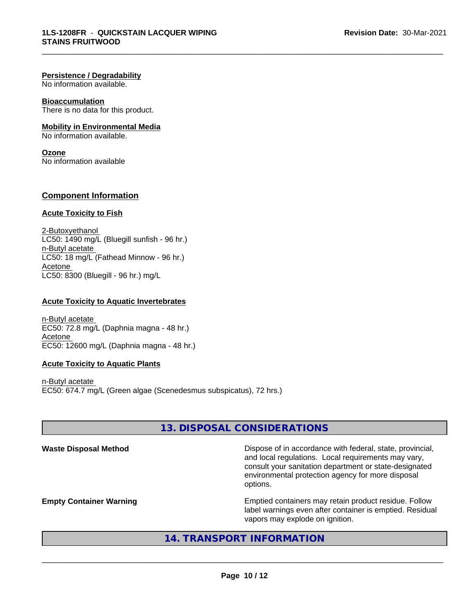#### **Persistence / Degradability**

No information available.

#### **Bioaccumulation**

There is no data for this product.

#### **Mobility in Environmental Media**

No information available.

#### **Ozone**

No information available

### **Component Information**

#### **Acute Toxicity to Fish**

2-Butoxyethanol  $LC50: 1490$  mg/L (Bluegill sunfish - 96 hr.) n-Butyl acetate LC50: 18 mg/L (Fathead Minnow - 96 hr.) Acetone LC50: 8300 (Bluegill - 96 hr.) mg/L

#### **Acute Toxicity to Aquatic Invertebrates**

n-Butyl acetate EC50: 72.8 mg/L (Daphnia magna - 48 hr.) Acetone EC50: 12600 mg/L (Daphnia magna - 48 hr.)

#### **Acute Toxicity to Aquatic Plants**

n-Butyl acetate EC50: 674.7 mg/L (Green algae (Scenedesmus subspicatus), 72 hrs.)

# **13. DISPOSAL CONSIDERATIONS**

\_\_\_\_\_\_\_\_\_\_\_\_\_\_\_\_\_\_\_\_\_\_\_\_\_\_\_\_\_\_\_\_\_\_\_\_\_\_\_\_\_\_\_\_\_\_\_\_\_\_\_\_\_\_\_\_\_\_\_\_\_\_\_\_\_\_\_\_\_\_\_\_\_\_\_\_\_\_\_\_\_\_\_\_\_\_\_\_\_\_\_\_\_

Waste Disposal Method **Dispose of in accordance with federal, state, provincial,** and local regulations. Local requirements may vary, consult your sanitation department or state-designated environmental protection agency for more disposal options.

**Empty Container Warning <b>Emptied** Containers may retain product residue. Follow label warnings even after container is emptied. Residual vapors may explode on ignition.

# **14. TRANSPORT INFORMATION**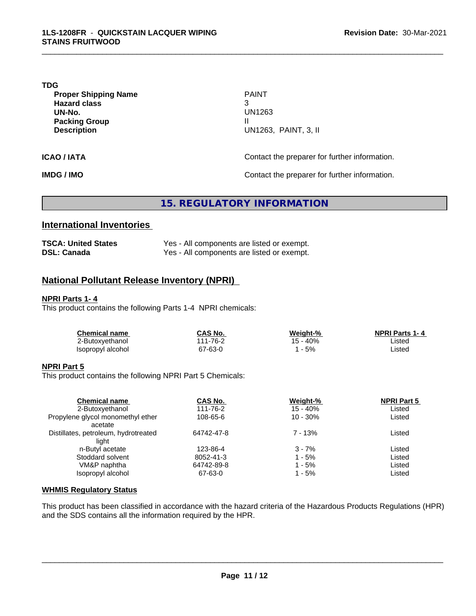**TDG**

**Proper Shipping Name PAINT Hazard class** 3 **UN-No.** UN1263 **Packing Group III Description** 

**Description** UN1263, PAINT, 3, II

\_\_\_\_\_\_\_\_\_\_\_\_\_\_\_\_\_\_\_\_\_\_\_\_\_\_\_\_\_\_\_\_\_\_\_\_\_\_\_\_\_\_\_\_\_\_\_\_\_\_\_\_\_\_\_\_\_\_\_\_\_\_\_\_\_\_\_\_\_\_\_\_\_\_\_\_\_\_\_\_\_\_\_\_\_\_\_\_\_\_\_\_\_

**ICAO / IATA ICAO / IATA Contact the preparer for further information.** 

**IMDG / IMO Contact the preparer for further information.** 

**15. REGULATORY INFORMATION**

# **International Inventories**

| <b>TSCA: United States</b> | Yes - All components are listed or exempt. |
|----------------------------|--------------------------------------------|
| <b>DSL: Canada</b>         | Yes - All components are listed or exempt. |

# **National Pollutant Release Inventory (NPRI)**

#### **NPRI Parts 1- 4**

This product contains the following Parts 1-4 NPRI chemicals:

| <b>Chemical name</b> | CAS No.             | Weight-% | <b>NPRI Parts 1-4</b> |  |
|----------------------|---------------------|----------|-----------------------|--|
| 2-Butoxyethanol      | $1 - 76 - 2$<br>144 | 15 - 40% | Listed                |  |
| Isopropyl alcohol    | 67-63-0             | 5%       | Listed                |  |

#### **NPRI Part 5**

This product contains the following NPRI Part 5 Chemicals:

| CAS No.    | Weight-%    | <b>NPRI Part 5</b> |        |
|------------|-------------|--------------------|--------|
| 111-76-2   | 15 - 40%    |                    |        |
| 108-65-6   | $10 - 30\%$ | Listed             |        |
|            |             |                    |        |
| 64742-47-8 | $7 - 13%$   | Listed             |        |
|            |             |                    |        |
| 123-86-4   | $3 - 7%$    | Listed             |        |
| 8052-41-3  | $1 - 5%$    | Listed             |        |
| 64742-89-8 | 1 - 5%      | Listed             |        |
| 67-63-0    | 1 - 5%      | Listed             |        |
|            |             |                    | Listed |

#### **WHMIS Regulatory Status**

This product has been classified in accordance with the hazard criteria of the Hazardous Products Regulations (HPR) and the SDS contains all the information required by the HPR.